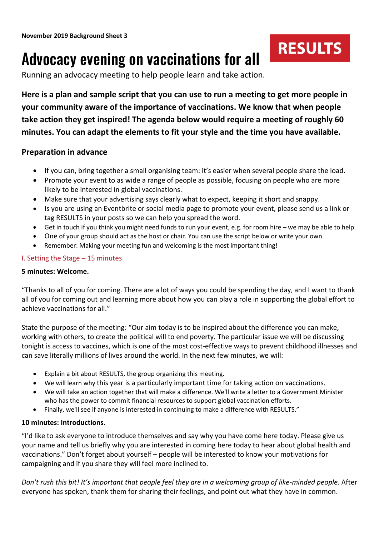# Advocacy evening on vaccinations for all

Running an advocacy meeting to help people learn and take action.

**Here is a plan and sample script that you can use to run a meeting to get more people in your community aware of the importance of vaccinations. We know that when people take action they get inspired! The agenda below would require a meeting of roughly 60 minutes. You can adapt the elements to fit your style and the time you have available.**

**RESULTS** 

## **Preparation in advance**

- If you can, bring together a small organising team: it's easier when several people share the load.
- Promote your event to as wide a range of people as possible, focusing on people who are more likely to be interested in global vaccinations.
- Make sure that your advertising says clearly what to expect, keeping it short and snappy.
- Is you are using an Eventbrite or social media page to promote your event, please send us a link or tag RESULTS in your posts so we can help you spread the word.
- Get in touch if you think you might need funds to run your event, e.g. for room hire we may be able to help.
- One of your group should act as the host or chair. You can use the script below or write your own.
- Remember: Making your meeting fun and welcoming is the most important thing!

## I. Setting the Stage – 15 minutes

### **5 minutes: Welcome.**

"Thanks to all of you for coming. There are a lot of ways you could be spending the day, and I want to thank all of you for coming out and learning more about how you can play a role in supporting the global effort to achieve vaccinations for all."

State the purpose of the meeting: "Our aim today is to be inspired about the difference you can make, working with others, to create the political will to end poverty. The particular issue we will be discussing tonight is access to vaccines, which is one of the most cost-effective ways to prevent childhood illnesses and can save literally millions of lives around the world. In the next few minutes, we will:

- Explain a bit about RESULTS, the group organizing this meeting.
- We will learn why this year is a particularly important time for taking action on vaccinations.
- We will take an action together that will make a difference. We'll write a letter to a Government Minister who has the power to commit financial resources to support global vaccination efforts.
- Finally, we'll see if anyone is interested in continuing to make a difference with RESULTS."

## **10 minutes: Introductions.**

"I'd like to ask everyone to introduce themselves and say why you have come here today. Please give us your name and tell us briefly why you are interested in coming here today to hear about global health and vaccinations." Don't forget about yourself – people will be interested to know your motivations for campaigning and if you share they will feel more inclined to.

*Don't rush this bit! It's important that people feel they are in a welcoming group of like-minded people*. After everyone has spoken, thank them for sharing their feelings, and point out what they have in common.